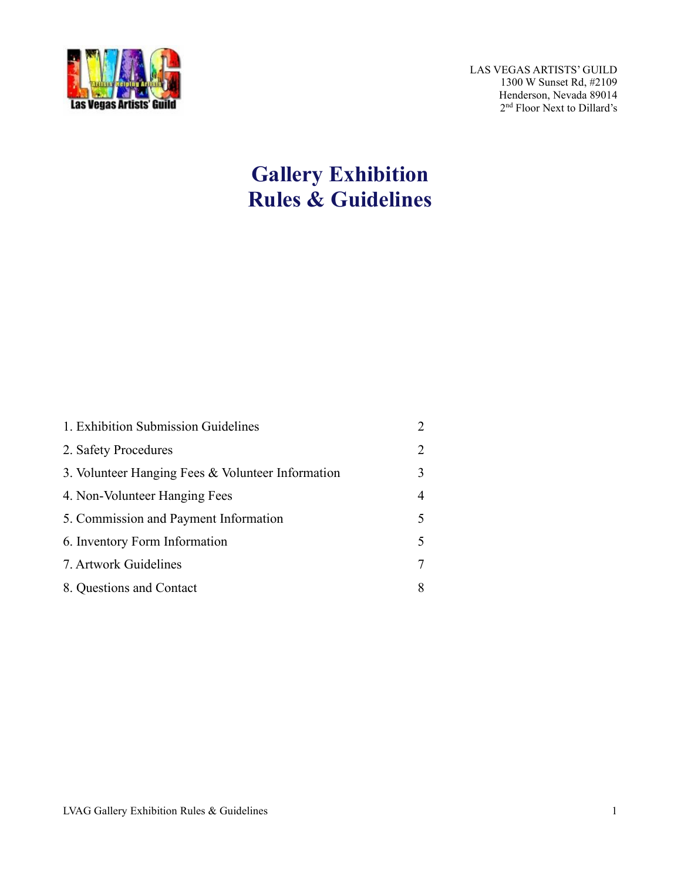

LAS VEGAS ARTISTS' GUILD 1300 W Sunset Rd, #2109 Henderson, Nevada 89014 2nd Floor Next to Dillard's

# **Gallery Exhibition Rules & Guidelines**

| 1. Exhibition Submission Guidelines                                                                        | $\overline{2}$                        |                                       |   |
|------------------------------------------------------------------------------------------------------------|---------------------------------------|---------------------------------------|---|
| 2. Safety Procedures<br>3. Volunteer Hanging Fees & Volunteer Information<br>4. Non-Volunteer Hanging Fees | $\overline{2}$<br>3<br>$\overline{4}$ |                                       |   |
|                                                                                                            |                                       | 5. Commission and Payment Information | 5 |
|                                                                                                            |                                       | 6. Inventory Form Information         | 5 |
| 7. Artwork Guidelines                                                                                      | $\overline{7}$                        |                                       |   |
| 8. Questions and Contact                                                                                   | 8                                     |                                       |   |
|                                                                                                            |                                       |                                       |   |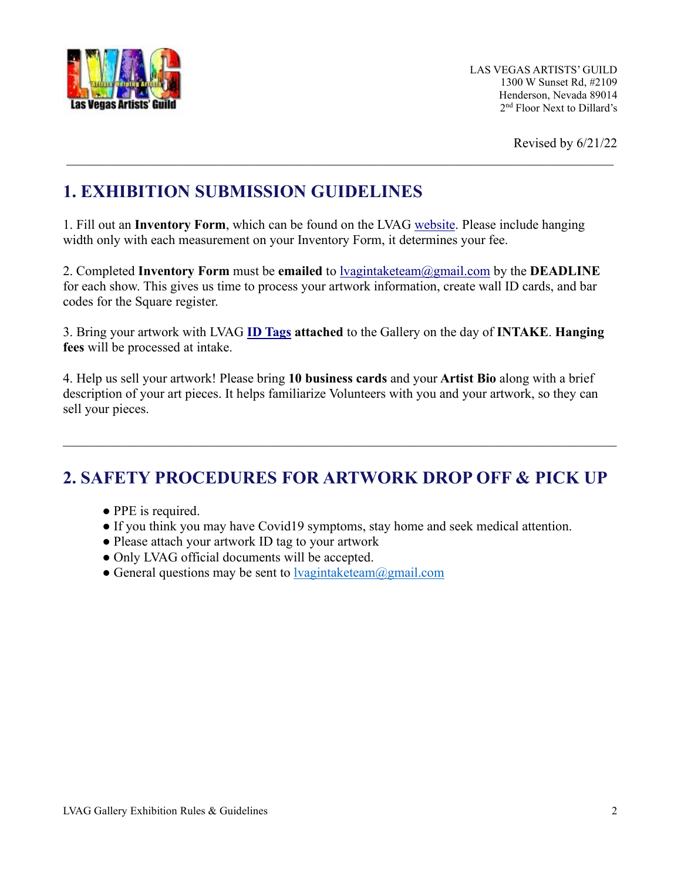

Revised by 6/21/22

## **1. EXHIBITION SUBMISSION GUIDELINES**

1. Fill out an **Inventory Form**, which can be found on the LVAG [website.](https://www.lvartistsguild.org/wp-content/uploads/2022/01/Intake-Inventory-Sheet-2022.pdf) Please include hanging width only with each measurement on your Inventory Form, it determines your fee.

\_\_\_\_\_\_\_\_\_\_\_\_\_\_\_\_\_\_\_\_\_\_\_\_\_\_\_\_\_\_\_\_\_\_\_\_\_\_\_\_\_\_\_\_\_\_\_\_\_\_\_\_\_\_\_\_\_\_\_\_\_\_\_\_\_\_\_\_\_\_\_\_\_\_\_\_\_\_\_\_\_\_

2. Completed **Inventory Form** must be **emailed** to [lvagintaketeam@gmail.com](mailto:lvagintaketeam@gmail.com) by the **DEADLINE** for each show. This gives us time to process your artwork information, create wall ID cards, and bar codes for the Square register.

3. Bring your artwork with LVAG **[ID Tags](https://www.lvartistsguild.org/wp-content/uploads/2020/07/Art-ID-TAG-August-2020.pdf) attached** to the Gallery on the day of **INTAKE**. **Hanging fees** will be processed at intake.

4. Help us sell your artwork! Please bring **10 business cards** and your **Artist Bio** along with a brief description of your art pieces. It helps familiarize Volunteers with you and your artwork, so they can sell your pieces.

## **2. SAFETY PROCEDURES FOR ARTWORK DROP OFF & PICK UP**

- PPE is required.
- If you think you may have Covid19 symptoms, stay home and seek medical attention.
- Please attach your artwork ID tag to your artwork
- Only LVAG official documents will be accepted.
- General questions may be sent to  $\frac{1}{\text{vagintaketeam}(a)$ gmail.com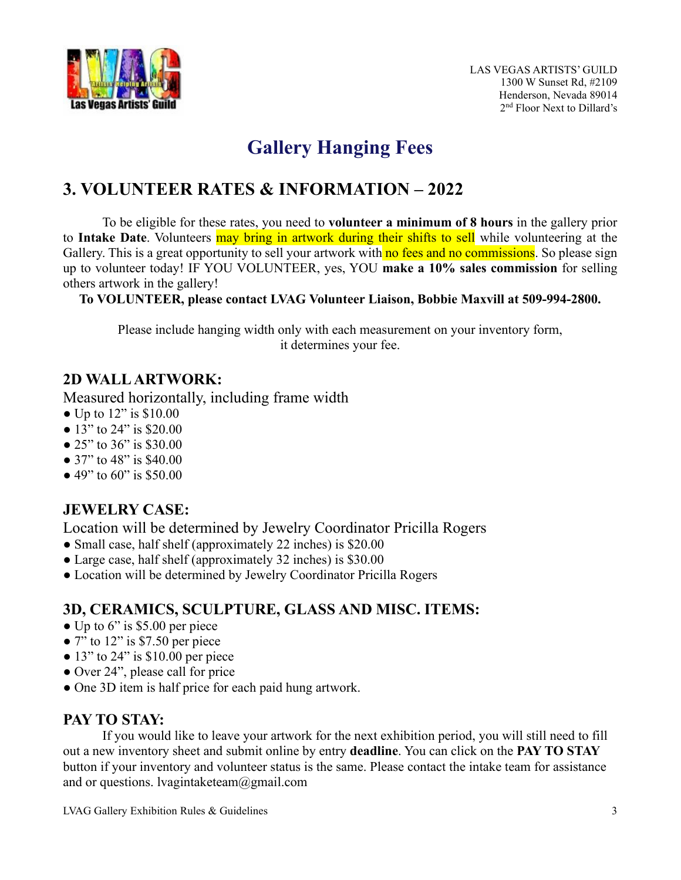

# **Gallery Hanging Fees**

## **3. VOLUNTEER RATES & INFORMATION – 2022**

To be eligible for these rates, you need to **volunteer a minimum of 8 hours** in the gallery prior to **Intake Date**. Volunteers may bring in artwork during their shifts to sell while volunteering at the Gallery. This is a great opportunity to sell your artwork with no fees and no commissions. So please sign up to volunteer today! IF YOU VOLUNTEER, yes, YOU **make a 10% sales commission** for selling others artwork in the gallery!

#### **To VOLUNTEER, please contact LVAG Volunteer Liaison, Bobbie Maxvill at 509-994-2800.**

Please include hanging width only with each measurement on your inventory form, it determines your fee.

## **2D WALL ARTWORK:**

Measured horizontally, including frame width

- Up to  $12$ " is \$10.00
- $\bullet$  13" to 24" is \$20.00
- $\bullet$  25" to 36" is \$30.00
- 37" to 48" is \$40.00
- $\bullet$  49" to 60" is \$50.00

## **JEWELRY CASE:**

Location will be determined by Jewelry Coordinator Pricilla Rogers

- Small case, half shelf (approximately 22 inches) is \$20.00
- Large case, half shelf (approximately 32 inches) is \$30.00
- Location will be determined by Jewelry Coordinator Pricilla Rogers

## **3D, CERAMICS, SCULPTURE, GLASS AND MISC. ITEMS:**

- $\bullet$  Up to 6" is \$5.00 per piece
- $\bullet$  7" to 12" is \$7.50 per piece
- $\bullet$  13" to 24" is \$10.00 per piece
- Over 24", please call for price
- One 3D item is half price for each paid hung artwork.

## **PAY TO STAY:**

If you would like to leave your artwork for the next exhibition period, you will still need to fill out a new inventory sheet and submit online by entry **deadline**. You can click on the **PAY TO STAY**  button if your inventory and volunteer status is the same. Please contact the intake team for assistance and or questions. lvagintaketeam@gmail.com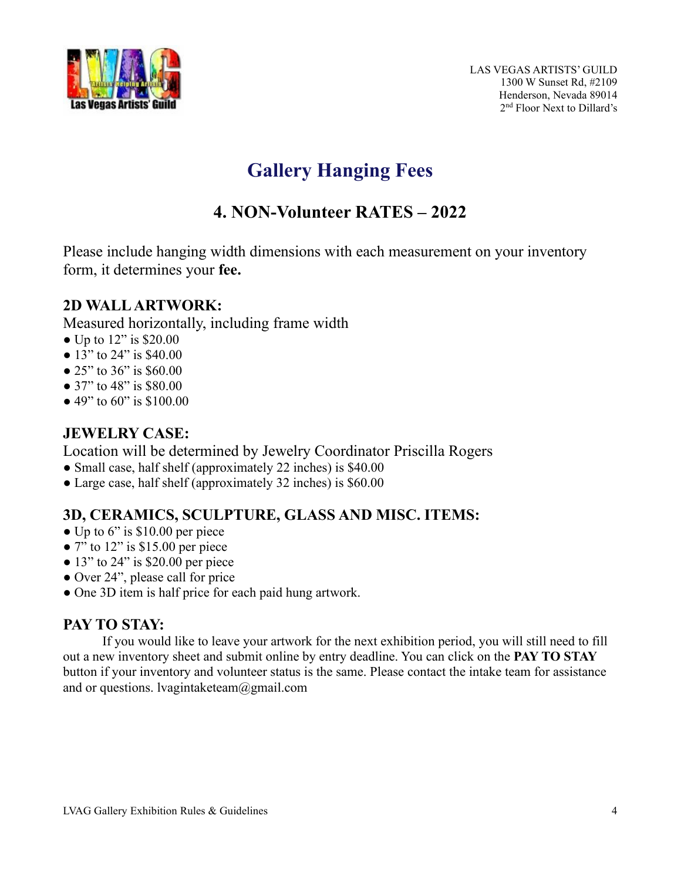

# **Gallery Hanging Fees**

## **4. NON-Volunteer RATES – 2022**

Please include hanging width dimensions with each measurement on your inventory form, it determines your **fee.**

## **2D WALL ARTWORK:**

Measured horizontally, including frame width

- Up to 12" is \$20.00
- 13" to 24" is \$40.00
- 25" to 36" is \$60.00
- 37" to 48" is \$80.00
- 49" to 60" is \$100.00

## **JEWELRY CASE:**

Location will be determined by Jewelry Coordinator Priscilla Rogers

- Small case, half shelf (approximately 22 inches) is \$40.00
- Large case, half shelf (approximately 32 inches) is \$60.00

## **3D, CERAMICS, SCULPTURE, GLASS AND MISC. ITEMS:**

- $\bullet$  Up to 6" is \$10.00 per piece
- $\bullet$  7" to 12" is \$15.00 per piece
- $\bullet$  13" to 24" is \$20.00 per piece
- Over 24", please call for price
- One 3D item is half price for each paid hung artwork.

## **PAY TO STAY:**

If you would like to leave your artwork for the next exhibition period, you will still need to fill out a new inventory sheet and submit online by entry deadline. You can click on the **PAY TO STAY** button if your inventory and volunteer status is the same. Please contact the intake team for assistance and or questions. lvagintaketeam@gmail.com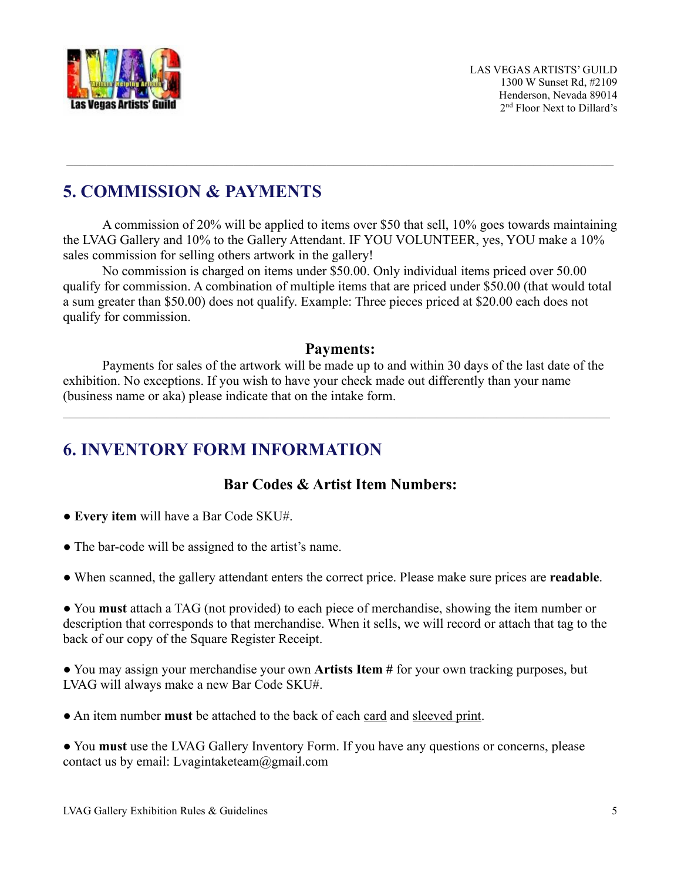

## **5. COMMISSION & PAYMENTS**

A commission of 20% will be applied to items over \$50 that sell, 10% goes towards maintaining the LVAG Gallery and 10% to the Gallery Attendant. IF YOU VOLUNTEER, yes, YOU make a 10% sales commission for selling others artwork in the gallery!

\_\_\_\_\_\_\_\_\_\_\_\_\_\_\_\_\_\_\_\_\_\_\_\_\_\_\_\_\_\_\_\_\_\_\_\_\_\_\_\_\_\_\_\_\_\_\_\_\_\_\_\_\_\_\_\_\_\_\_\_\_\_\_\_\_\_\_\_\_\_\_\_\_\_\_\_\_\_\_\_\_\_

No commission is charged on items under \$50.00. Only individual items priced over 50.00 qualify for commission. A combination of multiple items that are priced under \$50.00 (that would total a sum greater than \$50.00) does not qualify. Example: Three pieces priced at \$20.00 each does not qualify for commission.

#### **Payments:**

Payments for sales of the artwork will be made up to and within 30 days of the last date of the exhibition. No exceptions. If you wish to have your check made out differently than your name (business name or aka) please indicate that on the intake form.

\_\_\_\_\_\_\_\_\_\_\_\_\_\_\_\_\_\_\_\_\_\_\_\_\_\_\_\_\_\_\_\_\_\_\_\_\_\_\_\_\_\_\_\_\_\_\_\_\_\_\_\_\_\_\_\_\_\_\_\_\_\_\_\_\_\_\_\_\_\_\_\_\_\_\_\_\_\_\_\_\_\_

## **6. INVENTORY FORM INFORMATION**

## **Bar Codes & Artist Item Numbers:**

- **Every item** will have a Bar Code SKU#.
- The bar-code will be assigned to the artist's name.
- When scanned, the gallery attendant enters the correct price. Please make sure prices are **readable**.

● You **must** attach a TAG (not provided) to each piece of merchandise, showing the item number or description that corresponds to that merchandise. When it sells, we will record or attach that tag to the back of our copy of the Square Register Receipt.

● You may assign your merchandise your own **Artists Item #** for your own tracking purposes, but LVAG will always make a new Bar Code SKU#.

● An item number **must** be attached to the back of each card and sleeved print.

● You **must** use the LVAG Gallery Inventory [Form.](https://www.lvartistsguild.org/wp-content/uploads/2022/01/Intake-Inventory-Sheet-2022.pdf) If you have any questions or concerns, please contact us by email: Lvagintaketeam@gmail.com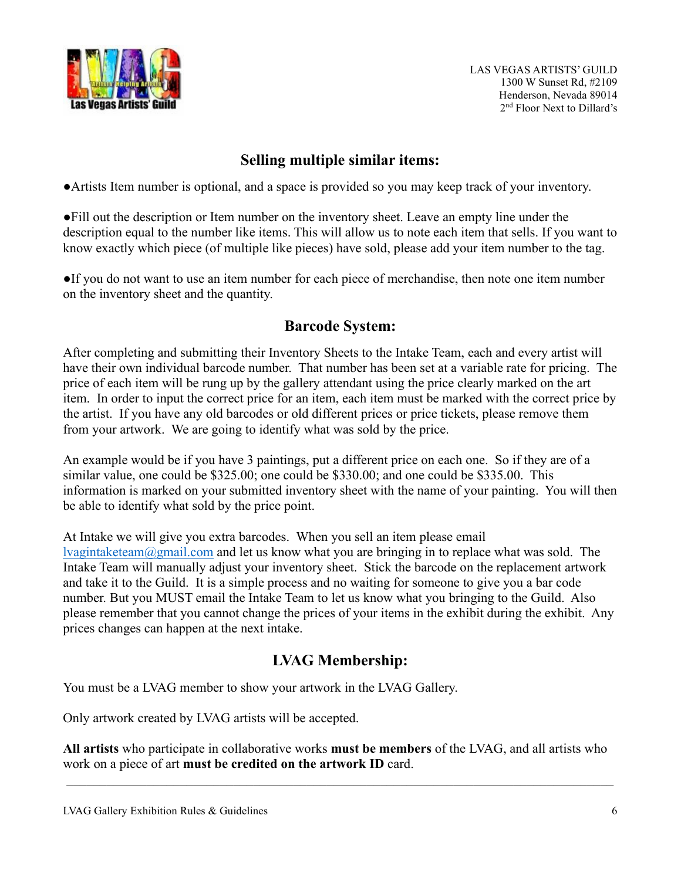

LAS VEGAS ARTISTS' GUILD 1300 W Sunset Rd, #2109 Henderson, Nevada 89014 2nd Floor Next to Dillard's

## **Selling multiple similar items:**

●Artists Item number is optional, and a space is provided so you may keep track of your inventory.

●Fill out the description or Item number on the inventory sheet. Leave an empty line under the description equal to the number like items. This will allow us to note each item that sells. If you want to know exactly which piece (of multiple like pieces) have sold, please add your item number to the tag.

●If you do not want to use an item number for each piece of merchandise, then note one item number on the inventory sheet and the quantity.

## **Barcode System:**

After completing and submitting their Inventory Sheets to the Intake Team, each and every artist will have their own individual barcode number. That number has been set at a variable rate for pricing. The price of each item will be rung up by the gallery attendant using the price clearly marked on the art item. In order to input the correct price for an item, each item must be marked with the correct price by the artist. If you have any old barcodes or old different prices or price tickets, please remove them from your artwork. We are going to identify what was sold by the price.

An example would be if you have 3 paintings, put a different price on each one. So if they are of a similar value, one could be \$325.00; one could be \$330.00; and one could be \$335.00. This information is marked on your submitted inventory sheet with the name of your painting. You will then be able to identify what sold by the price point.

At Intake we will give you extra barcodes. When you sell an item please email [lvagintaketeam@gmail.com](mailto:lvagintaketeam@gmail.com) and let us know what you are bringing in to replace what was sold. The Intake Team will manually adjust your inventory sheet. Stick the barcode on the replacement artwork and take it to the Guild. It is a simple process and no waiting for someone to give you a bar code number. But you MUST email the Intake Team to let us know what you bringing to the Guild. Also please remember that you cannot change the prices of your items in the exhibit during the exhibit. Any prices changes can happen at the next intake.

## **LVAG Membership:**

You must be a LVAG member to show your artwork in the LVAG Gallery.

Only artwork created by LVAG artists will be accepted.

**All artists** who participate in collaborative works **must be members** of the LVAG, and all artists who work on a piece of art **must be credited on the artwork ID** card.

\_\_\_\_\_\_\_\_\_\_\_\_\_\_\_\_\_\_\_\_\_\_\_\_\_\_\_\_\_\_\_\_\_\_\_\_\_\_\_\_\_\_\_\_\_\_\_\_\_\_\_\_\_\_\_\_\_\_\_\_\_\_\_\_\_\_\_\_\_\_\_\_\_\_\_\_\_\_\_\_\_\_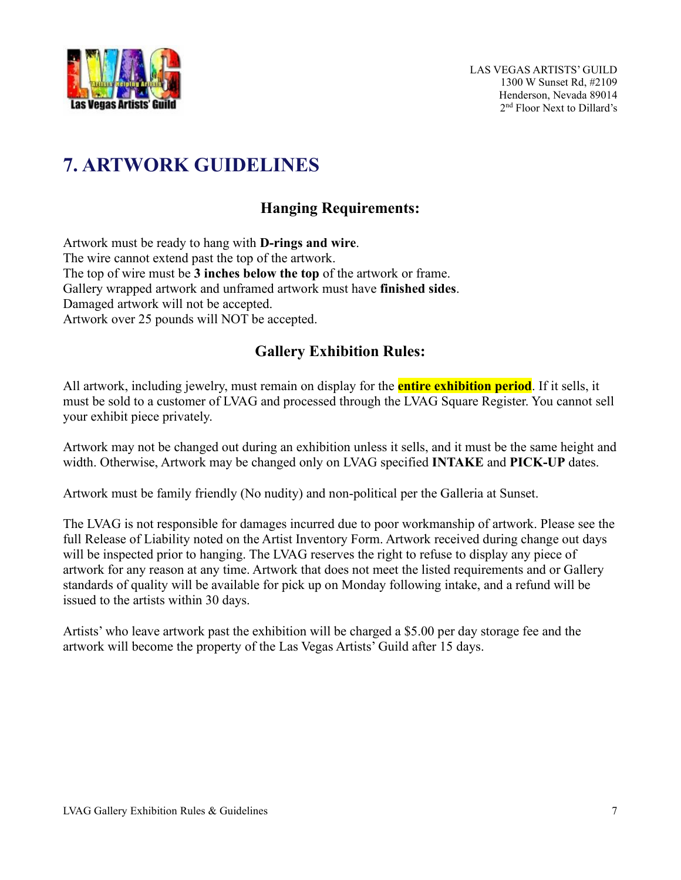

# **7. ARTWORK GUIDELINES**

## **Hanging Requirements:**

Artwork must be ready to hang with **D-rings and wire**. The wire cannot extend past the top of the artwork. The top of wire must be **3 inches below the top** of the artwork or frame. Gallery wrapped artwork and unframed artwork must have **finished sides**. Damaged artwork will not be accepted. Artwork over 25 pounds will NOT be accepted.

## **Gallery Exhibition Rules:**

All artwork, including jewelry, must remain on display for the **entire exhibition period**. If it sells, it must be sold to a customer of LVAG and processed through the LVAG Square Register. You cannot sell your exhibit piece privately.

Artwork may not be changed out during an exhibition unless it sells, and it must be the same height and width. Otherwise, Artwork may be changed only on LVAG specified **INTAKE** and **PICK-UP** dates.

Artwork must be family friendly (No nudity) and non-political per the Galleria at Sunset.

The LVAG is not responsible for damages incurred due to poor workmanship of artwork. Please see the full Release of Liability noted on the Artist Inventory Form. Artwork received during change out days will be inspected prior to hanging. The LVAG reserves the right to refuse to display any piece of artwork for any reason at any time. Artwork that does not meet the listed requirements and or Gallery standards of quality will be available for pick up on Monday following intake, and a refund will be issued to the artists within 30 days.

Artists' who leave artwork past the exhibition will be charged a \$5.00 per day storage fee and the artwork will become the property of the Las Vegas Artists' Guild after 15 days.